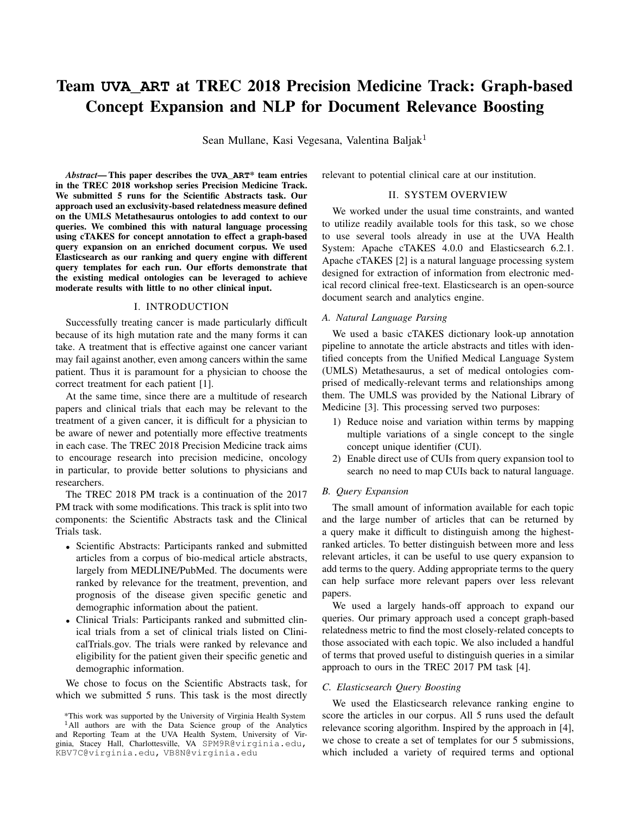# Team **UVA\_ART** at TREC 2018 Precision Medicine Track: Graph-based Concept Expansion and NLP for Document Relevance Boosting

Sean Mullane, Kasi Vegesana, Valentina Baljak<sup>1</sup>

*Abstract*— This paper describes the **UVA\_ART**\* team entries in the TREC 2018 workshop series Precision Medicine Track. We submitted 5 runs for the Scientific Abstracts task. Our approach used an exclusivity-based relatedness measure defined on the UMLS Metathesaurus ontologies to add context to our queries. We combined this with natural language processing using cTAKES for concept annotation to effect a graph-based query expansion on an enriched document corpus. We used Elasticsearch as our ranking and query engine with different query templates for each run. Our efforts demonstrate that the existing medical ontologies can be leveraged to achieve moderate results with little to no other clinical input.

## I. INTRODUCTION

Successfully treating cancer is made particularly difficult because of its high mutation rate and the many forms it can take. A treatment that is effective against one cancer variant may fail against another, even among cancers within the same patient. Thus it is paramount for a physician to choose the correct treatment for each patient [1].

At the same time, since there are a multitude of research papers and clinical trials that each may be relevant to the treatment of a given cancer, it is difficult for a physician to be aware of newer and potentially more effective treatments in each case. The TREC 2018 Precision Medicine track aims to encourage research into precision medicine, oncology in particular, to provide better solutions to physicians and researchers.

The TREC 2018 PM track is a continuation of the 2017 PM track with some modifications. This track is split into two components: the Scientific Abstracts task and the Clinical Trials task.

- Scientific Abstracts: Participants ranked and submitted articles from a corpus of bio-medical article abstracts, largely from MEDLINE/PubMed. The documents were ranked by relevance for the treatment, prevention, and prognosis of the disease given specific genetic and demographic information about the patient.
- Clinical Trials: Participants ranked and submitted clinical trials from a set of clinical trials listed on ClinicalTrials.gov. The trials were ranked by relevance and eligibility for the patient given their specific genetic and demographic information.

We chose to focus on the Scientific Abstracts task, for which we submitted 5 runs. This task is the most directly relevant to potential clinical care at our institution.

# II. SYSTEM OVERVIEW

We worked under the usual time constraints, and wanted to utilize readily available tools for this task, so we chose to use several tools already in use at the UVA Health System: Apache cTAKES 4.0.0 and Elasticsearch 6.2.1. Apache cTAKES [2] is a natural language processing system designed for extraction of information from electronic medical record clinical free-text. Elasticsearch is an open-source document search and analytics engine.

## *A. Natural Language Parsing*

We used a basic cTAKES dictionary look-up annotation pipeline to annotate the article abstracts and titles with identified concepts from the Unified Medical Language System (UMLS) Metathesaurus, a set of medical ontologies comprised of medically-relevant terms and relationships among them. The UMLS was provided by the National Library of Medicine [3]. This processing served two purposes:

- 1) Reduce noise and variation within terms by mapping multiple variations of a single concept to the single concept unique identifier (CUI).
- 2) Enable direct use of CUIs from query expansion tool to search no need to map CUIs back to natural language.

# *B. Query Expansion*

The small amount of information available for each topic and the large number of articles that can be returned by a query make it difficult to distinguish among the highestranked articles. To better distinguish between more and less relevant articles, it can be useful to use query expansion to add terms to the query. Adding appropriate terms to the query can help surface more relevant papers over less relevant papers.

We used a largely hands-off approach to expand our queries. Our primary approach used a concept graph-based relatedness metric to find the most closely-related concepts to those associated with each topic. We also included a handful of terms that proved useful to distinguish queries in a similar approach to ours in the TREC 2017 PM task [4].

# *C. Elasticsearch Query Boosting*

We used the Elasticsearch relevance ranking engine to score the articles in our corpus. All 5 runs used the default relevance scoring algorithm. Inspired by the approach in [4], we chose to create a set of templates for our 5 submissions, which included a variety of required terms and optional

<sup>\*</sup>This work was supported by the University of Virginia Health System <sup>1</sup>All authors are with the Data Science group of the Analytics and Reporting Team at the UVA Health System, University of Virginia, Stacey Hall, Charlottesville, VA SPM9R@virginia.edu, KBV7C@virginia.edu, VB8N@virginia.edu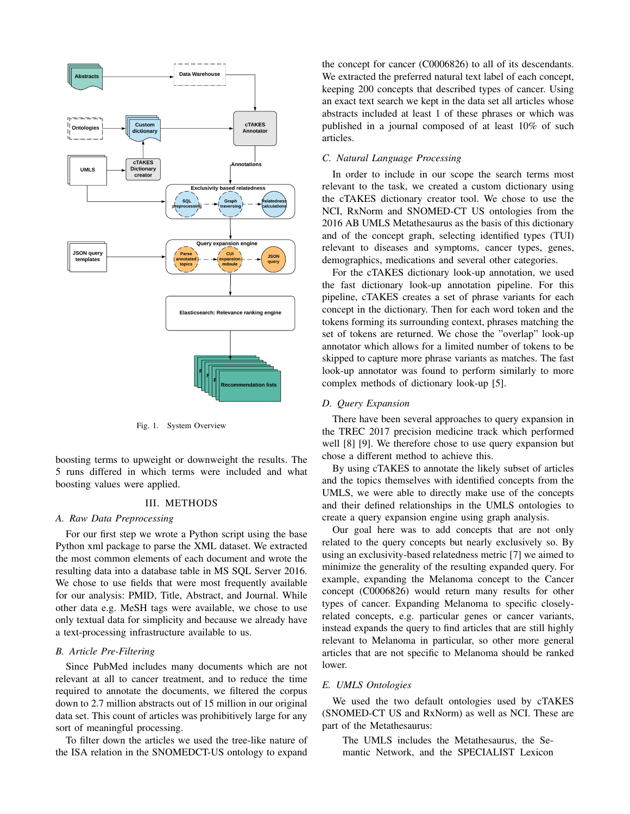

Fig. 1. System Overview

boosting terms to upweight or downweight the results. The 5 runs differed in which terms were included and what boosting values were applied.

# III. METHODS

## *A. Raw Data Preprocessing*

For our first step we wrote a Python script using the base Python xml package to parse the XML dataset. We extracted the most common elements of each document and wrote the resulting data into a database table in MS SQL Server 2016. We chose to use fields that were most frequently available for our analysis: PMID, Title, Abstract, and Journal. While other data e.g. MeSH tags were available, we chose to use only textual data for simplicity and because we already have a text-processing infrastructure available to us.

# *B. Article Pre-Filtering*

Since PubMed includes many documents which are not relevant at all to cancer treatment, and to reduce the time required to annotate the documents, we filtered the corpus down to 2.7 million abstracts out of 15 million in our original data set. This count of articles was prohibitively large for any sort of meaningful processing.

To filter down the articles we used the tree-like nature of the ISA relation in the SNOMEDCT-US ontology to expand the concept for cancer (C0006826) to all of its descendants. We extracted the preferred natural text label of each concept, keeping 200 concepts that described types of cancer. Using an exact text search we kept in the data set all articles whose abstracts included at least 1 of these phrases or which was published in a journal composed of at least 10% of such articles.

# *C. Natural Language Processing*

In order to include in our scope the search terms most relevant to the task, we created a custom dictionary using the cTAKES dictionary creator tool. We chose to use the NCI, RxNorm and SNOMED-CT US ontologies from the 2016 AB UMLS Metathesaurus as the basis of this dictionary and of the concept graph, selecting identified types (TUI) relevant to diseases and symptoms, cancer types, genes, demographics, medications and several other categories.

For the cTAKES dictionary look-up annotation, we used the fast dictionary look-up annotation pipeline. For this pipeline, cTAKES creates a set of phrase variants for each concept in the dictionary. Then for each word token and the tokens forming its surrounding context, phrases matching the set of tokens are returned. We chose the "overlap" look-up annotator which allows for a limited number of tokens to be skipped to capture more phrase variants as matches. The fast look-up annotator was found to perform similarly to more complex methods of dictionary look-up [5].

#### *D. Query Expansion*

There have been several approaches to query expansion in the TREC 2017 precision medicine track which performed well [8] [9]. We therefore chose to use query expansion but chose a different method to achieve this.

By using cTAKES to annotate the likely subset of articles and the topics themselves with identified concepts from the UMLS, we were able to directly make use of the concepts and their defined relationships in the UMLS ontologies to create a query expansion engine using graph analysis.

Our goal here was to add concepts that are not only related to the query concepts but nearly exclusively so. By using an exclusivity-based relatedness metric [7] we aimed to minimize the generality of the resulting expanded query. For example, expanding the Melanoma concept to the Cancer concept (C0006826) would return many results for other types of cancer. Expanding Melanoma to specific closelyrelated concepts, e.g. particular genes or cancer variants, instead expands the query to find articles that are still highly relevant to Melanoma in particular, so other more general articles that are not specific to Melanoma should be ranked lower.

#### *E. UMLS Ontologies*

We used the two default ontologies used by cTAKES (SNOMED-CT US and RxNorm) as well as NCI. These are part of the Metathesaurus:

The UMLS includes the Metathesaurus, the Semantic Network, and the SPECIALIST Lexicon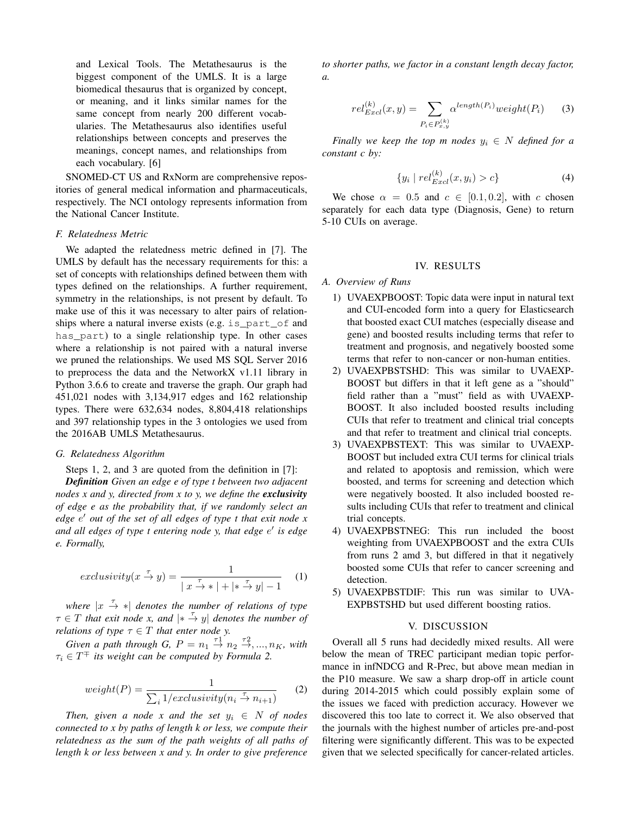and Lexical Tools. The Metathesaurus is the biggest component of the UMLS. It is a large biomedical thesaurus that is organized by concept, or meaning, and it links similar names for the same concept from nearly 200 different vocabularies. The Metathesaurus also identifies useful relationships between concepts and preserves the meanings, concept names, and relationships from each vocabulary. [6]

SNOMED-CT US and RxNorm are comprehensive repositories of general medical information and pharmaceuticals, respectively. The NCI ontology represents information from the National Cancer Institute.

## *F. Relatedness Metric*

We adapted the relatedness metric defined in [7]. The UMLS by default has the necessary requirements for this: a set of concepts with relationships defined between them with types defined on the relationships. A further requirement, symmetry in the relationships, is not present by default. To make use of this it was necessary to alter pairs of relationships where a natural inverse exists (e.g. is\_part\_of and has part) to a single relationship type. In other cases where a relationship is not paired with a natural inverse we pruned the relationships. We used MS SQL Server 2016 to preprocess the data and the NetworkX v1.11 library in Python 3.6.6 to create and traverse the graph. Our graph had 451,021 nodes with 3,134,917 edges and 162 relationship types. There were 632,634 nodes, 8,804,418 relationships and 397 relationship types in the 3 ontologies we used from the 2016AB UMLS Metathesaurus.

## *G. Relatedness Algorithm*

Steps 1, 2, and 3 are quoted from the definition in [7]:

*Definition Given an edge e of type t between two adjacent nodes x and y, directed from x to y, we define the exclusivity of edge e as the probability that, if we randomly select an* edge e' out of the set of all edges of type t that exit node x and all edges of type t entering node y, that edge e' is edge *e. Formally,*

$$
exclusivity(x \stackrel{\tau}{\to} y) = \frac{1}{|x \stackrel{\tau}{\to} *| + | * \stackrel{\tau}{\to} y| - 1} \tag{1}
$$

where  $|x \stackrel{\tau}{\rightarrow} *|$  *denotes the number of relations of type*  $\tau \in T$  *that exit node x, and*  $|*\stackrel{\tau}{\rightarrow} y|$  *denotes the number of relations of type*  $\tau \in T$  *that enter node y.* 

*Given a path through G,*  $P = n_1 \stackrel{\tau_1}{\rightarrow} n_2 \stackrel{\tau_2}{\rightarrow} \ldots, n_K$ , with  $\tau_i \in T^{\mp}$  *its weight can be computed by Formula 2.* 

$$
weight(P) = \frac{1}{\sum_{i} 1/exclusive(n_i \stackrel{\tau}{\to} n_{i+1})}
$$
 (2)

*Then, given a node* x and the set  $y_i \in N$  of nodes *connected to x by paths of length k or less, we compute their relatedness as the sum of the path weights of all paths of length k or less between x and y. In order to give preference* *to shorter paths, we factor in a constant length decay factor, a.*

$$
rel_{Excl}^{(k)}(x,y) = \sum_{P_i \in P_{x,y}^{(k)}} \alpha^{length(P_i)} weight(P_i)
$$
 (3)

*Finally we keep the top m nodes*  $y_i \in N$  *defined for a constant c by:*

$$
\{y_i \mid rel_{Excl}^{(k)}(x, y_i) > c\}
$$
 (4)

We chose  $\alpha = 0.5$  and  $c \in [0.1, 0.2]$ , with c chosen separately for each data type (Diagnosis, Gene) to return 5-10 CUIs on average.

#### IV. RESULTS

# *A. Overview of Runs*

- 1) UVAEXPBOOST: Topic data were input in natural text and CUI-encoded form into a query for Elasticsearch that boosted exact CUI matches (especially disease and gene) and boosted results including terms that refer to treatment and prognosis, and negatively boosted some terms that refer to non-cancer or non-human entities.
- 2) UVAEXPBSTSHD: This was similar to UVAEXP-BOOST but differs in that it left gene as a "should" field rather than a "must" field as with UVAEXP-BOOST. It also included boosted results including CUIs that refer to treatment and clinical trial concepts and that refer to treatment and clinical trial concepts.
- 3) UVAEXPBSTEXT: This was similar to UVAEXP-BOOST but included extra CUI terms for clinical trials and related to apoptosis and remission, which were boosted, and terms for screening and detection which were negatively boosted. It also included boosted results including CUIs that refer to treatment and clinical trial concepts.
- 4) UVAEXPBSTNEG: This run included the boost weighting from UVAEXPBOOST and the extra CUIs from runs 2 amd 3, but differed in that it negatively boosted some CUIs that refer to cancer screening and detection.
- 5) UVAEXPBSTDIF: This run was similar to UVA-EXPBSTSHD but used different boosting ratios.

### V. DISCUSSION

Overall all 5 runs had decidedly mixed results. All were below the mean of TREC participant median topic performance in infNDCG and R-Prec, but above mean median in the P10 measure. We saw a sharp drop-off in article count during 2014-2015 which could possibly explain some of the issues we faced with prediction accuracy. However we discovered this too late to correct it. We also observed that the journals with the highest number of articles pre-and-post filtering were significantly different. This was to be expected given that we selected specifically for cancer-related articles.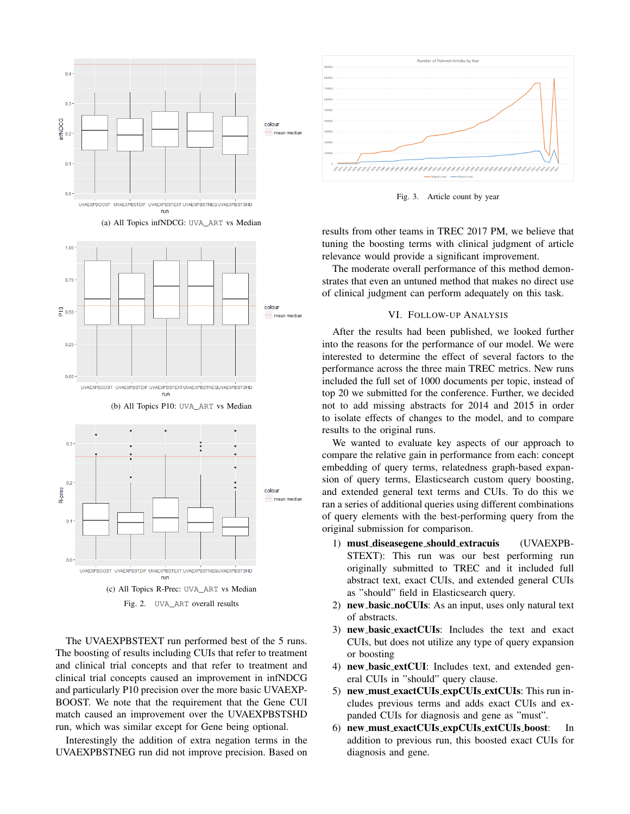



(a) All Topics infNDCG: UVA\_ART vs Median

The UVAEXPBSTEXT run performed best of the 5 runs. The boosting of results including CUIs that refer to treatment and clinical trial concepts and that refer to treatment and clinical trial concepts caused an improvement in infNDCG and particularly P10 precision over the more basic UVAEXP-BOOST. We note that the requirement that the Gene CUI match caused an improvement over the UVAEXPBSTSHD run, which was similar except for Gene being optional.

Interestingly the addition of extra negation terms in the UVAEXPBSTNEG run did not improve precision. Based on



Fig. 3. Article count by year

results from other teams in TREC 2017 PM, we believe that tuning the boosting terms with clinical judgment of article relevance would provide a significant improvement.

The moderate overall performance of this method demonstrates that even an untuned method that makes no direct use of clinical judgment can perform adequately on this task.

# VI. FOLLOW-UP ANALYSIS

After the results had been published, we looked further into the reasons for the performance of our model. We were interested to determine the effect of several factors to the performance across the three main TREC metrics. New runs included the full set of 1000 documents per topic, instead of top 20 we submitted for the conference. Further, we decided not to add missing abstracts for 2014 and 2015 in order to isolate effects of changes to the model, and to compare results to the original runs.

We wanted to evaluate key aspects of our approach to compare the relative gain in performance from each: concept embedding of query terms, relatedness graph-based expansion of query terms, Elasticsearch custom query boosting, and extended general text terms and CUIs. To do this we ran a series of additional queries using different combinations of query elements with the best-performing query from the original submission for comparison.

- 1) must diseasegene should extracuis (UVAEXPB-STEXT): This run was our best performing run originally submitted to TREC and it included full abstract text, exact CUIs, and extended general CUIs as "should" field in Elasticsearch query.
- 2) new\_basic\_noCUIs: As an input, uses only natural text of abstracts.
- 3) new basic exactCUIs: Includes the text and exact CUIs, but does not utilize any type of query expansion or boosting
- 4) new basic extCUI: Includes text, and extended general CUIs in "should" query clause.
- 5) new must exactCUIs expCUIs extCUIs: This run includes previous terms and adds exact CUIs and expanded CUIs for diagnosis and gene as "must".
- 6) new must exactCUIs expCUIs extCUIs boost: In addition to previous run, this boosted exact CUIs for diagnosis and gene.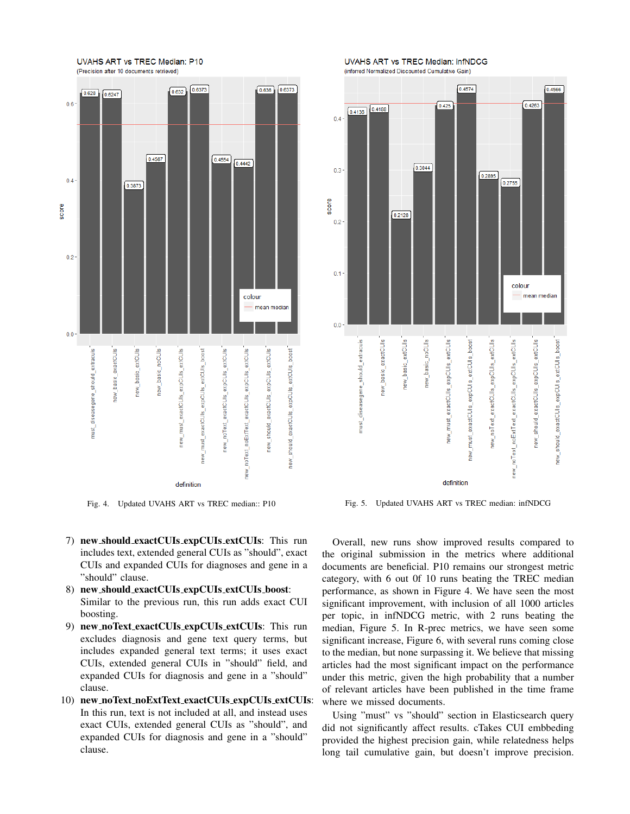

Fig. 4. Updated UVAHS ART vs TREC median:: P10

- 7) new should exactCUIs expCUIs extCUIs: This run includes text, extended general CUIs as "should", exact CUIs and expanded CUIs for diagnoses and gene in a "should" clause.
- 8) new should exactCUIs expCUIs extCUIs boost: Similar to the previous run, this run adds exact CUI boosting.
- 9) new noText exactCUIs expCUIs extCUIs: This run excludes diagnosis and gene text query terms, but includes expanded general text terms; it uses exact CUIs, extended general CUIs in "should" field, and expanded CUIs for diagnosis and gene in a "should" clause.
- 10) new noText noExtText exactCUIs expCUIs extCUIs: In this run, text is not included at all, and instead uses exact CUIs, extended general CUIs as "should", and expanded CUIs for diagnosis and gene in a "should" clause.

UVAHS ART vs TREC Median: infNDCG (inferred Normalized Discounted Cumulative Gain)



Fig. 5. Updated UVAHS ART vs TREC median: infNDCG

Overall, new runs show improved results compared to the original submission in the metrics where additional documents are beneficial. P10 remains our strongest metric category, with 6 out 0f 10 runs beating the TREC median performance, as shown in Figure 4. We have seen the most significant improvement, with inclusion of all 1000 articles per topic, in infNDCG metric, with 2 runs beating the median, Figure 5. In R-prec metrics, we have seen some significant increase, Figure 6, with several runs coming close to the median, but none surpassing it. We believe that missing articles had the most significant impact on the performance under this metric, given the high probability that a number of relevant articles have been published in the time frame where we missed documents.

Using "must" vs "should" section in Elasticsearch query did not significantly affect results. cTakes CUI embbeding provided the highest precision gain, while relatedness helps long tail cumulative gain, but doesn't improve precision.